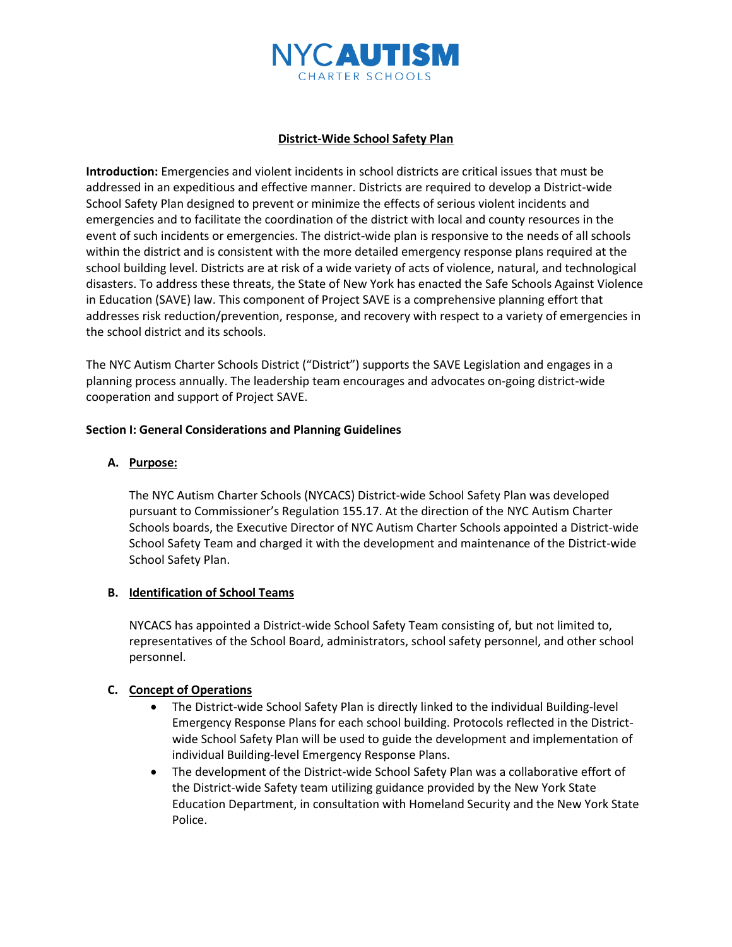

## **District-Wide School Safety Plan**

**Introduction:** Emergencies and violent incidents in school districts are critical issues that must be addressed in an expeditious and effective manner. Districts are required to develop a District-wide School Safety Plan designed to prevent or minimize the effects of serious violent incidents and emergencies and to facilitate the coordination of the district with local and county resources in the event of such incidents or emergencies. The district-wide plan is responsive to the needs of all schools within the district and is consistent with the more detailed emergency response plans required at the school building level. Districts are at risk of a wide variety of acts of violence, natural, and technological disasters. To address these threats, the State of New York has enacted the Safe Schools Against Violence in Education (SAVE) law. This component of Project SAVE is a comprehensive planning effort that addresses risk reduction/prevention, response, and recovery with respect to a variety of emergencies in the school district and its schools.

The NYC Autism Charter Schools District ("District") supports the SAVE Legislation and engages in a planning process annually. The leadership team encourages and advocates on-going district-wide cooperation and support of Project SAVE.

#### **Section I: General Considerations and Planning Guidelines**

## **A. Purpose:**

The NYC Autism Charter Schools (NYCACS) District-wide School Safety Plan was developed pursuant to Commissioner's Regulation 155.17. At the direction of the NYC Autism Charter Schools boards, the Executive Director of NYC Autism Charter Schools appointed a District-wide School Safety Team and charged it with the development and maintenance of the District-wide School Safety Plan.

## **B. Identification of School Teams**

NYCACS has appointed a District-wide School Safety Team consisting of, but not limited to, representatives of the School Board, administrators, school safety personnel, and other school personnel.

## **C. Concept of Operations**

- The District-wide School Safety Plan is directly linked to the individual Building-level Emergency Response Plans for each school building. Protocols reflected in the Districtwide School Safety Plan will be used to guide the development and implementation of individual Building-level Emergency Response Plans.
- The development of the District-wide School Safety Plan was a collaborative effort of the District-wide Safety team utilizing guidance provided by the New York State Education Department, in consultation with Homeland Security and the New York State Police.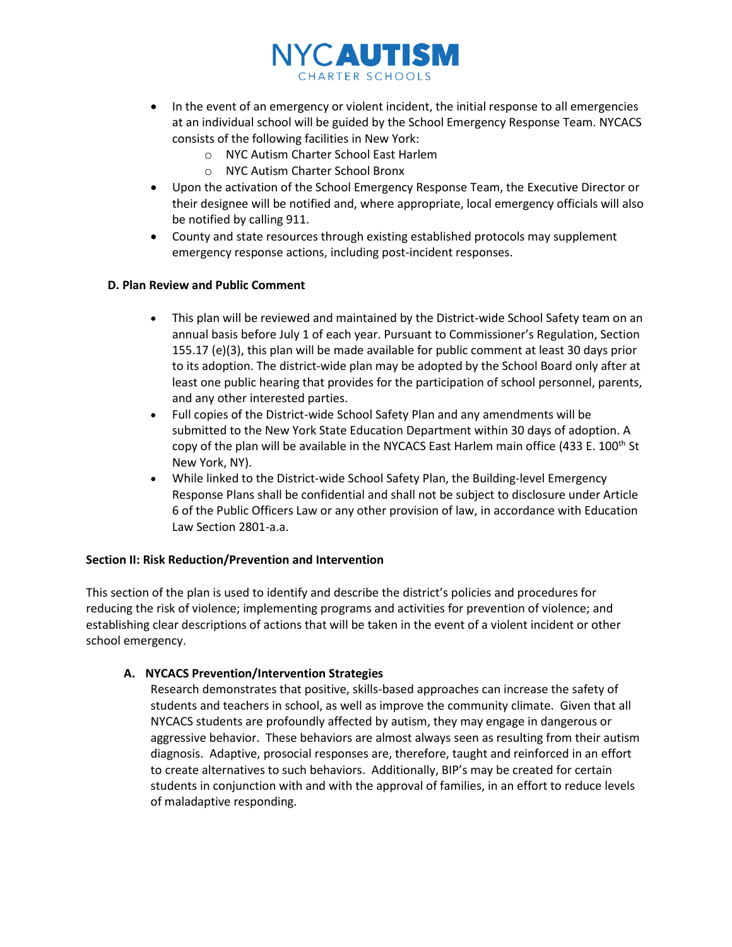

- In the event of an emergency or violent incident, the initial response to all emergencies at an individual school will be guided by the School Emergency Response Team. NYCACS consists of the following facilities in New York:
	- o NYC Autism Charter School East Harlem
	- o NYC Autism Charter School Bronx
- Upon the activation of the School Emergency Response Team, the Executive Director or their designee will be notified and, where appropriate, local emergency officials will also be notified by calling 911.
- County and state resources through existing established protocols may supplement emergency response actions, including post-incident responses.

## **D. Plan Review and Public Comment**

- This plan will be reviewed and maintained by the District-wide School Safety team on an annual basis before July 1 of each year. Pursuant to Commissioner's Regulation, Section 155.17 (e)(3), this plan will be made available for public comment at least 30 days prior to its adoption. The district-wide plan may be adopted by the School Board only after at least one public hearing that provides for the participation of school personnel, parents, and any other interested parties.
- Full copies of the District-wide School Safety Plan and any amendments will be submitted to the New York State Education Department within 30 days of adoption. A copy of the plan will be available in the NYCACS East Harlem main office (433 E. 100<sup>th</sup> St New York, NY).
- While linked to the District-wide School Safety Plan, the Building-level Emergency Response Plans shall be confidential and shall not be subject to disclosure under Article 6 of the Public Officers Law or any other provision of law, in accordance with Education Law Section 2801-a.a.

## **Section II: Risk Reduction/Prevention and Intervention**

This section of the plan is used to identify and describe the district's policies and procedures for reducing the risk of violence; implementing programs and activities for prevention of violence; and establishing clear descriptions of actions that will be taken in the event of a violent incident or other school emergency.

## **A. NYCACS Prevention/Intervention Strategies**

Research demonstrates that positive, skills-based approaches can increase the safety of students and teachers in school, as well as improve the community climate. Given that all NYCACS students are profoundly affected by autism, they may engage in dangerous or aggressive behavior. These behaviors are almost always seen as resulting from their autism diagnosis. Adaptive, prosocial responses are, therefore, taught and reinforced in an effort to create alternatives to such behaviors. Additionally, BIP's may be created for certain students in conjunction with and with the approval of families, in an effort to reduce levels of maladaptive responding.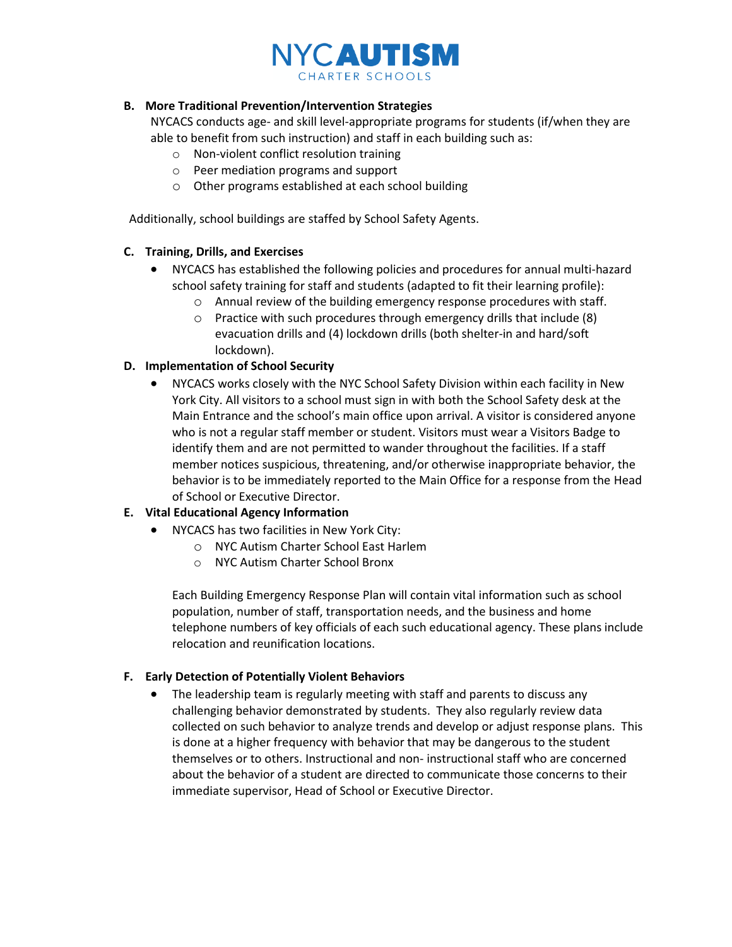

## **B. More Traditional Prevention/Intervention Strategies**

NYCACS conducts age- and skill level-appropriate programs for students (if/when they are able to benefit from such instruction) and staff in each building such as:

- o Non-violent conflict resolution training
- o Peer mediation programs and support
- o Other programs established at each school building

Additionally, school buildings are staffed by School Safety Agents.

## **C. Training, Drills, and Exercises**

- NYCACS has established the following policies and procedures for annual multi-hazard school safety training for staff and students (adapted to fit their learning profile):
	- o Annual review of the building emergency response procedures with staff.
	- o Practice with such procedures through emergency drills that include (8) evacuation drills and (4) lockdown drills (both shelter-in and hard/soft lockdown).

## **D. Implementation of School Security**

• NYCACS works closely with the NYC School Safety Division within each facility in New York City. All visitors to a school must sign in with both the School Safety desk at the Main Entrance and the school's main office upon arrival. A visitor is considered anyone who is not a regular staff member or student. Visitors must wear a Visitors Badge to identify them and are not permitted to wander throughout the facilities. If a staff member notices suspicious, threatening, and/or otherwise inappropriate behavior, the behavior is to be immediately reported to the Main Office for a response from the Head of School or Executive Director.

# **E. Vital Educational Agency Information**

- NYCACS has two facilities in New York City:
	- o NYC Autism Charter School East Harlem
	- o NYC Autism Charter School Bronx

Each Building Emergency Response Plan will contain vital information such as school population, number of staff, transportation needs, and the business and home telephone numbers of key officials of each such educational agency. These plans include relocation and reunification locations.

## **F. Early Detection of Potentially Violent Behaviors**

The leadership team is regularly meeting with staff and parents to discuss any challenging behavior demonstrated by students. They also regularly review data collected on such behavior to analyze trends and develop or adjust response plans. This is done at a higher frequency with behavior that may be dangerous to the student themselves or to others. Instructional and non- instructional staff who are concerned about the behavior of a student are directed to communicate those concerns to their immediate supervisor, Head of School or Executive Director.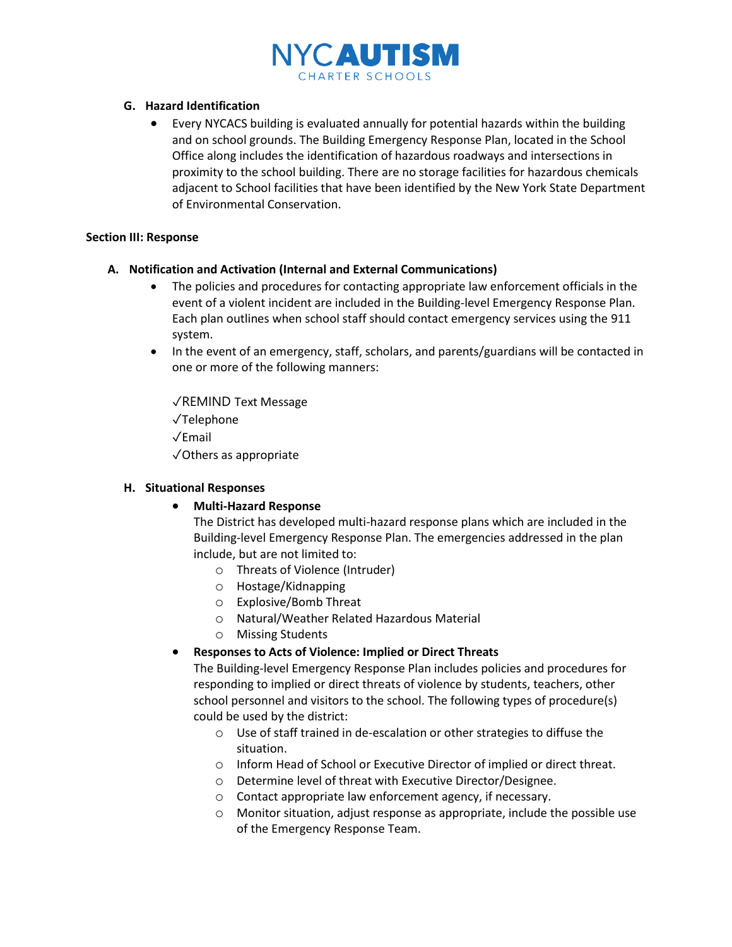

## **G. Hazard Identification**

• Every NYCACS building is evaluated annually for potential hazards within the building and on school grounds. The Building Emergency Response Plan, located in the School Office along includes the identification of hazardous roadways and intersections in proximity to the school building. There are no storage facilities for hazardous chemicals adjacent to School facilities that have been identified by the New York State Department of Environmental Conservation.

## **Section III: Response**

# **A. Notification and Activation (Internal and External Communications)**

- The policies and procedures for contacting appropriate law enforcement officials in the event of a violent incident are included in the Building-level Emergency Response Plan. Each plan outlines when school staff should contact emergency services using the 911 system.
- In the event of an emergency, staff, scholars, and parents/guardians will be contacted in one or more of the following manners:

✓REMIND Text Message ✓Telephone ✓Email ✓Others as appropriate

## **H. Situational Responses**

# • **Multi-Hazard Response**

The District has developed multi-hazard response plans which are included in the Building-level Emergency Response Plan. The emergencies addressed in the plan include, but are not limited to:

- o Threats of Violence (Intruder)
- o Hostage/Kidnapping
- o Explosive/Bomb Threat
- o Natural/Weather Related Hazardous Material
- o Missing Students

# • **Responses to Acts of Violence: Implied or Direct Threats**

The Building-level Emergency Response Plan includes policies and procedures for responding to implied or direct threats of violence by students, teachers, other school personnel and visitors to the school. The following types of procedure(s) could be used by the district:

- o Use of staff trained in de-escalation or other strategies to diffuse the situation.
- o Inform Head of School or Executive Director of implied or direct threat.
- o Determine level of threat with Executive Director/Designee.
- o Contact appropriate law enforcement agency, if necessary.
- o Monitor situation, adjust response as appropriate, include the possible use of the Emergency Response Team.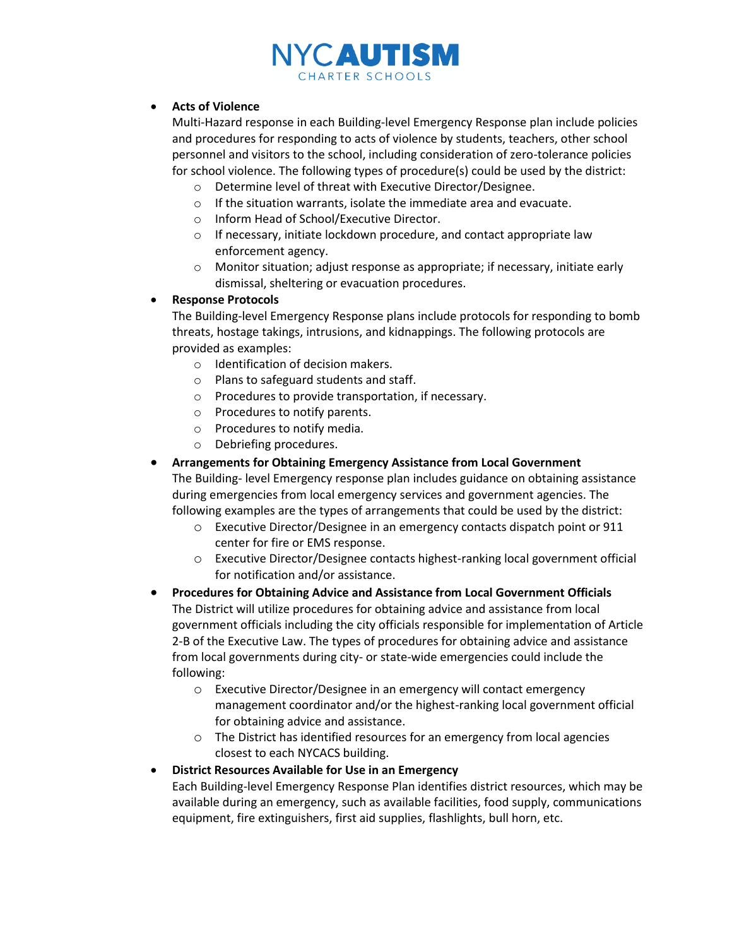# NYC**autism** CHARTER SCHOOLS

## • **Acts of Violence**

Multi-Hazard response in each Building-level Emergency Response plan include policies and procedures for responding to acts of violence by students, teachers, other school personnel and visitors to the school, including consideration of zero-tolerance policies for school violence. The following types of procedure(s) could be used by the district:

- o Determine level of threat with Executive Director/Designee.
- o If the situation warrants, isolate the immediate area and evacuate.
- o Inform Head of School/Executive Director.
- o If necessary, initiate lockdown procedure, and contact appropriate law enforcement agency.
- o Monitor situation; adjust response as appropriate; if necessary, initiate early dismissal, sheltering or evacuation procedures.

## • **Response Protocols**

The Building-level Emergency Response plans include protocols for responding to bomb threats, hostage takings, intrusions, and kidnappings. The following protocols are provided as examples:

- o Identification of decision makers.
- o Plans to safeguard students and staff.
- o Procedures to provide transportation, if necessary.
- o Procedures to notify parents.
- o Procedures to notify media.
- o Debriefing procedures.

#### • **Arrangements for Obtaining Emergency Assistance from Local Government**  The Building- level Emergency response plan includes guidance on obtaining assistance

during emergencies from local emergency services and government agencies. The following examples are the types of arrangements that could be used by the district:

- o Executive Director/Designee in an emergency contacts dispatch point or 911 center for fire or EMS response.
- o Executive Director/Designee contacts highest-ranking local government official for notification and/or assistance.
- **Procedures for Obtaining Advice and Assistance from Local Government Officials**  The District will utilize procedures for obtaining advice and assistance from local government officials including the city officials responsible for implementation of Article 2-B of the Executive Law. The types of procedures for obtaining advice and assistance from local governments during city- or state-wide emergencies could include the following:
	- o Executive Director/Designee in an emergency will contact emergency management coordinator and/or the highest-ranking local government official for obtaining advice and assistance.
	- o The District has identified resources for an emergency from local agencies closest to each NYCACS building.

## • **District Resources Available for Use in an Emergency**

Each Building-level Emergency Response Plan identifies district resources, which may be available during an emergency, such as available facilities, food supply, communications equipment, fire extinguishers, first aid supplies, flashlights, bull horn, etc.